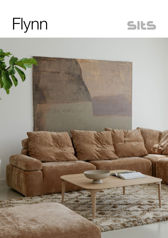



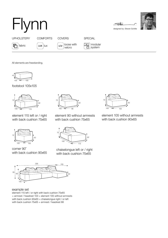## Flynn designed by: Steven Schilte





UPHOLSTERY COMFORTS COVERS SPECIAL

fabric  $\left[\begin{array}{cc} LUX \end{array}\right]$   $|UX|$   $\left[\begin{array}{cc} LCV \end{array}\right]$  loose with velcro

modular system

All elements are freestanding.

105 42 105

footstool 105x105



element 115 left or / right with back cushion 75x65



corner 90˚ with back cushion 90x65



element 90 without armrests with back cushion 75x65



chaiselongue left or / right with back cushion 75x65



example set

element 115 left / or right with back cushion 75x65 + armrest / headrest 103 + element 105 without armrests with back cushion 90x65 + chaiselongue right / or left with back cushion 75x65 + armrest / headrest 88



element 105 without armrests with back cushion 90x65